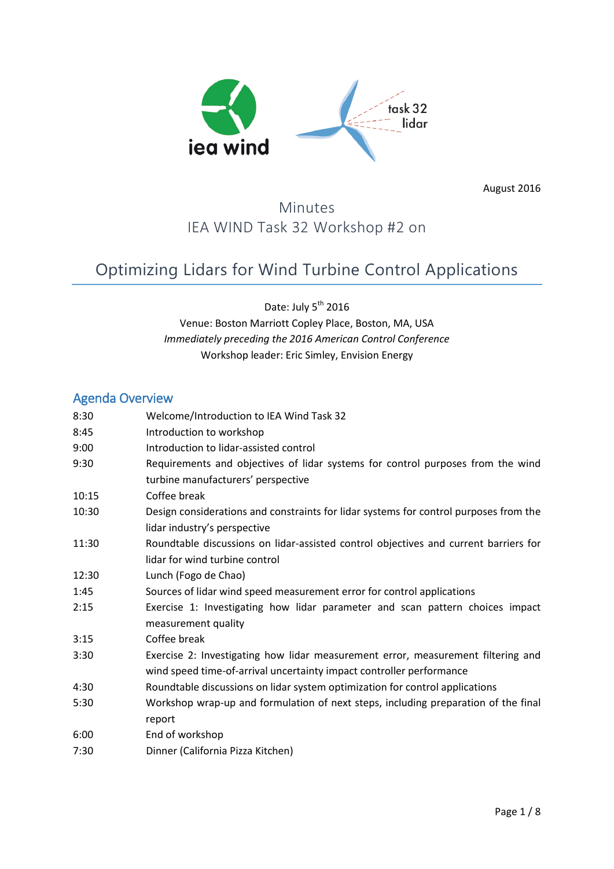

August 2016

# Minutes IEA WIND Task 32 Workshop #2 on

# Optimizing Lidars for Wind Turbine Control Applications

Date: July 5<sup>th</sup> 2016 Venue: Boston Marriott Copley Place, Boston, MA, USA *Immediately preceding the 2016 American Control Conference* Workshop leader: Eric Simley, Envision Energy

## Agenda Overview

| 8:30  | Welcome/Introduction to IEA Wind Task 32                                                                                                                 |
|-------|----------------------------------------------------------------------------------------------------------------------------------------------------------|
| 8:45  | Introduction to workshop                                                                                                                                 |
| 9:00  | Introduction to lidar-assisted control                                                                                                                   |
| 9:30  | Requirements and objectives of lidar systems for control purposes from the wind<br>turbine manufacturers' perspective                                    |
| 10:15 | Coffee break                                                                                                                                             |
| 10:30 | Design considerations and constraints for lidar systems for control purposes from the<br>lidar industry's perspective                                    |
| 11:30 | Roundtable discussions on lidar-assisted control objectives and current barriers for<br>lidar for wind turbine control                                   |
| 12:30 | Lunch (Fogo de Chao)                                                                                                                                     |
| 1:45  | Sources of lidar wind speed measurement error for control applications                                                                                   |
| 2:15  | Exercise 1: Investigating how lidar parameter and scan pattern choices impact<br>measurement quality                                                     |
| 3:15  | Coffee break                                                                                                                                             |
| 3:30  | Exercise 2: Investigating how lidar measurement error, measurement filtering and<br>wind speed time-of-arrival uncertainty impact controller performance |
| 4:30  | Roundtable discussions on lidar system optimization for control applications                                                                             |
| 5:30  | Workshop wrap-up and formulation of next steps, including preparation of the final<br>report                                                             |
| 6:00  | End of workshop                                                                                                                                          |
| 7:30  | Dinner (California Pizza Kitchen)                                                                                                                        |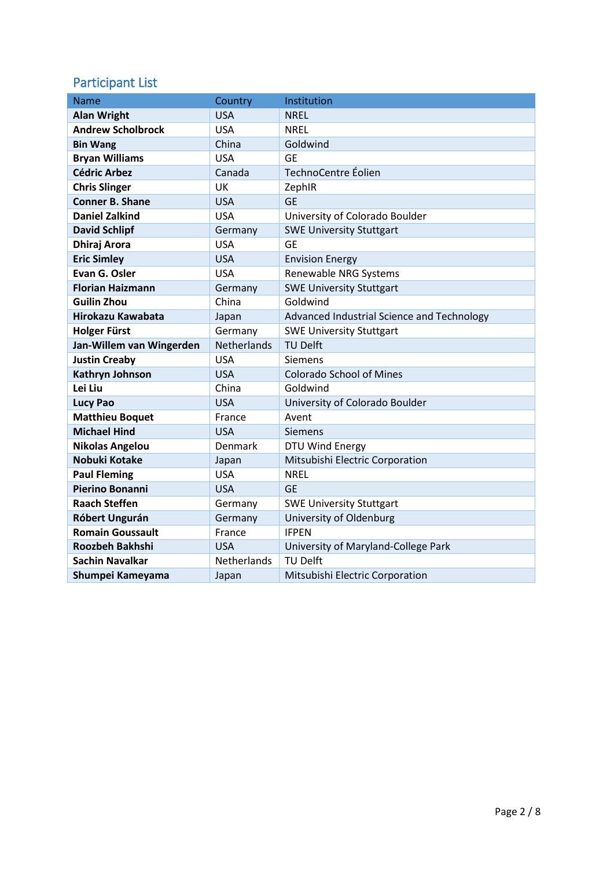# Participant List

| Name                     | Country        | Institution                                |
|--------------------------|----------------|--------------------------------------------|
| <b>Alan Wright</b>       | <b>USA</b>     | <b>NREL</b>                                |
| <b>Andrew Scholbrock</b> | <b>USA</b>     | <b>NREL</b>                                |
| <b>Bin Wang</b>          | China          | Goldwind                                   |
| <b>Bryan Williams</b>    | <b>USA</b>     | <b>GE</b>                                  |
| <b>Cédric Arbez</b>      | Canada         | TechnoCentre Éolien                        |
| <b>Chris Slinger</b>     | UK             | ZephIR                                     |
| <b>Conner B. Shane</b>   | <b>USA</b>     | <b>GE</b>                                  |
| <b>Daniel Zalkind</b>    | <b>USA</b>     | University of Colorado Boulder             |
| <b>David Schlipf</b>     | Germany        | <b>SWE University Stuttgart</b>            |
| <b>Dhiraj Arora</b>      | <b>USA</b>     | <b>GE</b>                                  |
| <b>Eric Simley</b>       | <b>USA</b>     | <b>Envision Energy</b>                     |
| Evan G. Osler            | <b>USA</b>     | Renewable NRG Systems                      |
| <b>Florian Haizmann</b>  | Germany        | <b>SWE University Stuttgart</b>            |
| <b>Guilin Zhou</b>       | China          | Goldwind                                   |
| Hirokazu Kawabata        | Japan          | Advanced Industrial Science and Technology |
| <b>Holger Fürst</b>      | Germany        | <b>SWE University Stuttgart</b>            |
| Jan-Willem van Wingerden | Netherlands    | <b>TU Delft</b>                            |
| <b>Justin Creaby</b>     | <b>USA</b>     | Siemens                                    |
| <b>Kathryn Johnson</b>   | <b>USA</b>     | <b>Colorado School of Mines</b>            |
| Lei Liu                  | China          | Goldwind                                   |
| <b>Lucy Pao</b>          | <b>USA</b>     | University of Colorado Boulder             |
| <b>Matthieu Boquet</b>   | France         | Avent                                      |
| <b>Michael Hind</b>      | <b>USA</b>     | <b>Siemens</b>                             |
| <b>Nikolas Angelou</b>   | <b>Denmark</b> | DTU Wind Energy                            |
| Nobuki Kotake            | Japan          | Mitsubishi Electric Corporation            |
| <b>Paul Fleming</b>      | <b>USA</b>     | <b>NREL</b>                                |
| <b>Pierino Bonanni</b>   | <b>USA</b>     | <b>GE</b>                                  |
| <b>Raach Steffen</b>     | Germany        | <b>SWE University Stuttgart</b>            |
| Róbert Ungurán           | Germany        | University of Oldenburg                    |
| <b>Romain Goussault</b>  | France         | <b>IFPEN</b>                               |
| Roozbeh Bakhshi          | <b>USA</b>     | University of Maryland-College Park        |
| <b>Sachin Navalkar</b>   | Netherlands    | <b>TU Delft</b>                            |
| Shumpei Kameyama         | Japan          | Mitsubishi Electric Corporation            |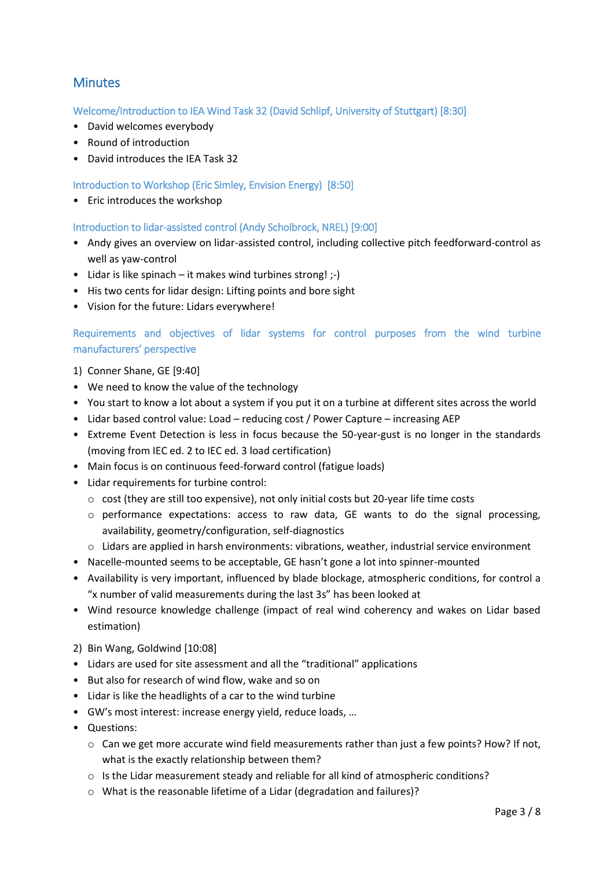# **Minutes**

Welcome/Introduction to IEA Wind Task 32 (David Schlipf, University of Stuttgart) [8:30]

- David welcomes everybody
- Round of introduction
- David introduces the IEA Task 32

Introduction to Workshop (Eric Simley, Envision Energy) [8:50]

• Eric introduces the workshop

Introduction to lidar-assisted control (Andy Scholbrock, NREL) [9:00]

- Andy gives an overview on lidar-assisted control, including collective pitch feedforward-control as well as yaw-control
- Lidar is like spinach it makes wind turbines strong! ;-)
- His two cents for lidar design: Lifting points and bore sight
- Vision for the future: Lidars everywhere!

### Requirements and objectives of lidar systems for control purposes from the wind turbine manufacturers' perspective

- 1) Conner Shane, GE [9:40]
- We need to know the value of the technology
- You start to know a lot about a system if you put it on a turbine at different sites across the world
- Lidar based control value: Load reducing cost / Power Capture increasing AEP
- Extreme Event Detection is less in focus because the 50-year-gust is no longer in the standards (moving from IEC ed. 2 to IEC ed. 3 load certification)
- Main focus is on continuous feed-forward control (fatigue loads)
- Lidar requirements for turbine control:
	- o cost (they are still too expensive), not only initial costs but 20-year life time costs
	- $\circ$  performance expectations: access to raw data, GE wants to do the signal processing, availability, geometry/configuration, self-diagnostics
	- o Lidars are applied in harsh environments: vibrations, weather, industrial service environment
- Nacelle-mounted seems to be acceptable, GE hasn't gone a lot into spinner-mounted
- Availability is very important, influenced by blade blockage, atmospheric conditions, for control a "x number of valid measurements during the last 3s" has been looked at
- Wind resource knowledge challenge (impact of real wind coherency and wakes on Lidar based estimation)
- 2) Bin Wang, Goldwind [10:08]
- Lidars are used for site assessment and all the "traditional" applications
- But also for research of wind flow, wake and so on
- Lidar is like the headlights of a car to the wind turbine
- GW's most interest: increase energy yield, reduce loads, …
- Questions:
	- $\circ$  Can we get more accurate wind field measurements rather than just a few points? How? If not, what is the exactly relationship between them?
	- $\circ$  Is the Lidar measurement steady and reliable for all kind of atmospheric conditions?
	- o What is the reasonable lifetime of a Lidar (degradation and failures)?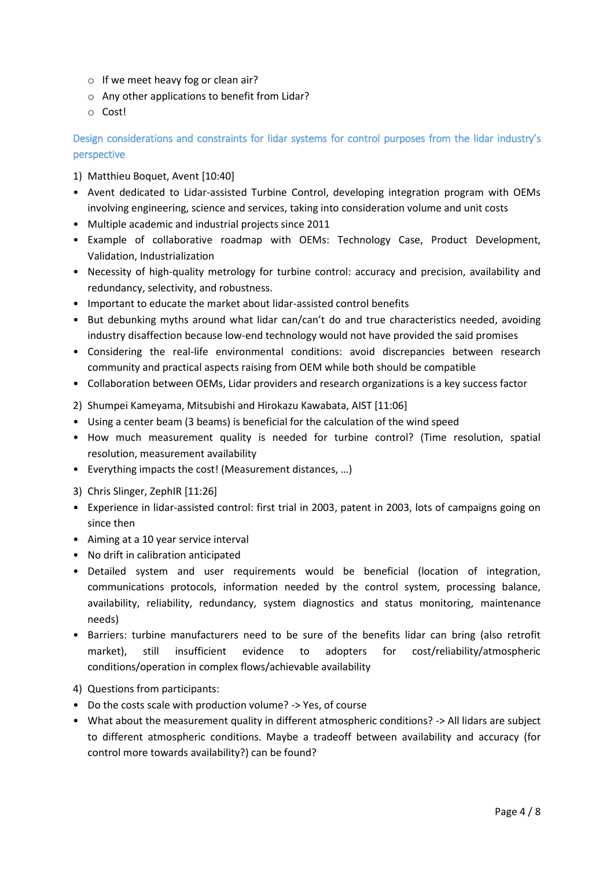- o If we meet heavy fog or clean air?
- o Any other applications to benefit from Lidar?
- o Cost!

### Design considerations and constraints for lidar systems for control purposes from the lidar industry's perspective

- 1) Matthieu Boquet, Avent [10:40]
- Avent dedicated to Lidar-assisted Turbine Control, developing integration program with OEMs involving engineering, science and services, taking into consideration volume and unit costs
- Multiple academic and industrial projects since 2011
- Example of collaborative roadmap with OEMs: Technology Case, Product Development, Validation, Industrialization
- Necessity of high-quality metrology for turbine control: accuracy and precision, availability and redundancy, selectivity, and robustness.
- Important to educate the market about lidar-assisted control benefits
- But debunking myths around what lidar can/can't do and true characteristics needed, avoiding industry disaffection because low-end technology would not have provided the said promises
- Considering the real-life environmental conditions: avoid discrepancies between research community and practical aspects raising from OEM while both should be compatible
- Collaboration between OEMs, Lidar providers and research organizations is a key success factor
- 2) Shumpei Kameyama, Mitsubishi and Hirokazu Kawabata, AIST [11:06]
- Using a center beam (3 beams) is beneficial for the calculation of the wind speed
- How much measurement quality is needed for turbine control? (Time resolution, spatial resolution, measurement availability
- Everything impacts the cost! (Measurement distances, …)
- 3) Chris Slinger, ZephIR [11:26]
- Experience in lidar-assisted control: first trial in 2003, patent in 2003, lots of campaigns going on since then
- Aiming at a 10 year service interval
- No drift in calibration anticipated
- Detailed system and user requirements would be beneficial (location of integration, communications protocols, information needed by the control system, processing balance, availability, reliability, redundancy, system diagnostics and status monitoring, maintenance needs)
- Barriers: turbine manufacturers need to be sure of the benefits lidar can bring (also retrofit market), still insufficient evidence to adopters for cost/reliability/atmospheric conditions/operation in complex flows/achievable availability
- 4) Questions from participants:
- Do the costs scale with production volume? -> Yes, of course
- What about the measurement quality in different atmospheric conditions? -> All lidars are subject to different atmospheric conditions. Maybe a tradeoff between availability and accuracy (for control more towards availability?) can be found?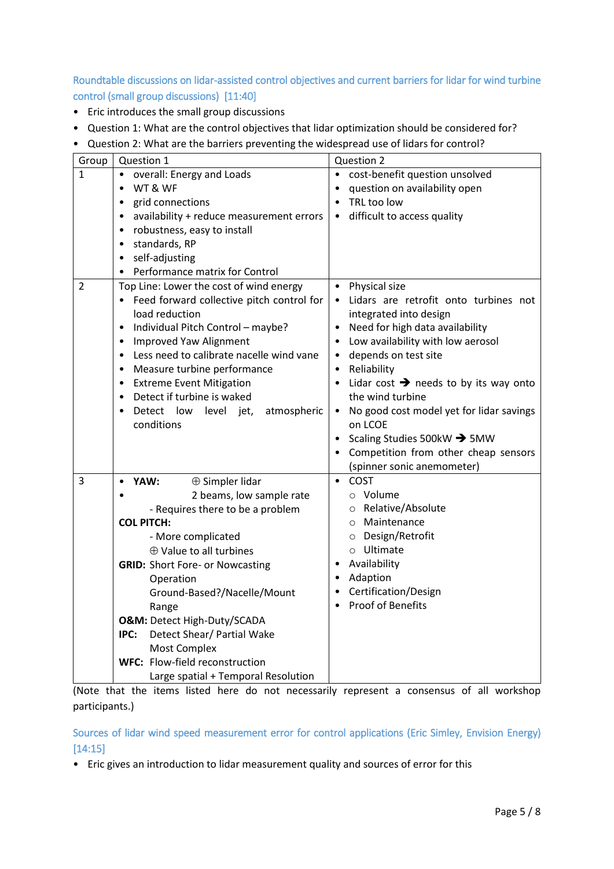Roundtable discussions on lidar-assisted control objectives and current barriers for lidar for wind turbine control (small group discussions) [11:40]

- Eric introduces the small group discussions
- Question 1: What are the control objectives that lidar optimization should be considered for?
- Question 2: What are the barriers preventing the widespread use of lidars for control?

| Group          | Question 1                                            | Question 2                                        |
|----------------|-------------------------------------------------------|---------------------------------------------------|
| 1              | overall: Energy and Loads                             | cost-benefit question unsolved                    |
|                | WT & WF<br>$\bullet$                                  | question on availability open                     |
|                | grid connections<br>$\bullet$                         | TRL too low<br>$\bullet$                          |
|                | availability + reduce measurement errors<br>$\bullet$ | difficult to access quality<br>$\bullet$          |
|                | robustness, easy to install<br>$\bullet$              |                                                   |
|                | standards, RP<br>$\bullet$                            |                                                   |
|                | self-adjusting<br>$\bullet$                           |                                                   |
|                | Performance matrix for Control                        |                                                   |
| $\overline{2}$ | Top Line: Lower the cost of wind energy               | Physical size<br>$\bullet$                        |
|                | Feed forward collective pitch control for             | Lidars are retrofit onto turbines not             |
|                | load reduction                                        | integrated into design                            |
|                | Individual Pitch Control - maybe?<br>$\bullet$        | • Need for high data availability                 |
|                | Improved Yaw Alignment<br>$\bullet$                   | Low availability with low aerosol                 |
|                | Less need to calibrate nacelle wind vane<br>$\bullet$ | • depends on test site                            |
|                | Measure turbine performance<br>$\bullet$              | Reliability<br>$\bullet$                          |
|                | <b>Extreme Event Mitigation</b><br>$\bullet$          | Lidar cost $\rightarrow$ needs to by its way onto |
|                | Detect if turbine is waked<br>$\bullet$               | the wind turbine                                  |
|                | Detect low<br>level jet,<br>atmospheric<br>$\bullet$  | • No good cost model yet for lidar savings        |
|                | conditions                                            | on LCOE                                           |
|                |                                                       | Scaling Studies 500kW $\rightarrow$ 5MW           |
|                |                                                       | Competition from other cheap sensors              |
|                |                                                       | (spinner sonic anemometer)                        |
| 3              | $\oplus$ Simpler lidar<br>YAW:<br>$\bullet$           | • COST                                            |
|                | 2 beams, low sample rate<br>$\bullet$                 | o Volume                                          |
|                | - Requires there to be a problem                      | o Relative/Absolute                               |
|                | <b>COL PITCH:</b>                                     | o Maintenance                                     |
|                | - More complicated                                    | O Design/Retrofit                                 |
|                | $\oplus$ Value to all turbines                        | o Ultimate                                        |
|                | <b>GRID: Short Fore- or Nowcasting</b>                | Availability                                      |
|                | Operation                                             | • Adaption                                        |
|                | Ground-Based?/Nacelle/Mount                           | • Certification/Design                            |
|                | Range                                                 | <b>Proof of Benefits</b>                          |
|                | O&M: Detect High-Duty/SCADA                           |                                                   |
|                | Detect Shear/ Partial Wake<br>IPC:                    |                                                   |
|                | Most Complex                                          |                                                   |
|                | WFC: Flow-field reconstruction                        |                                                   |
|                | Large spatial + Temporal Resolution                   |                                                   |

(Note that the items listed here do not necessarily represent a consensus of all workshop participants.)

Sources of lidar wind speed measurement error for control applications (Eric Simley, Envision Energy) [14:15]

• Eric gives an introduction to lidar measurement quality and sources of error for this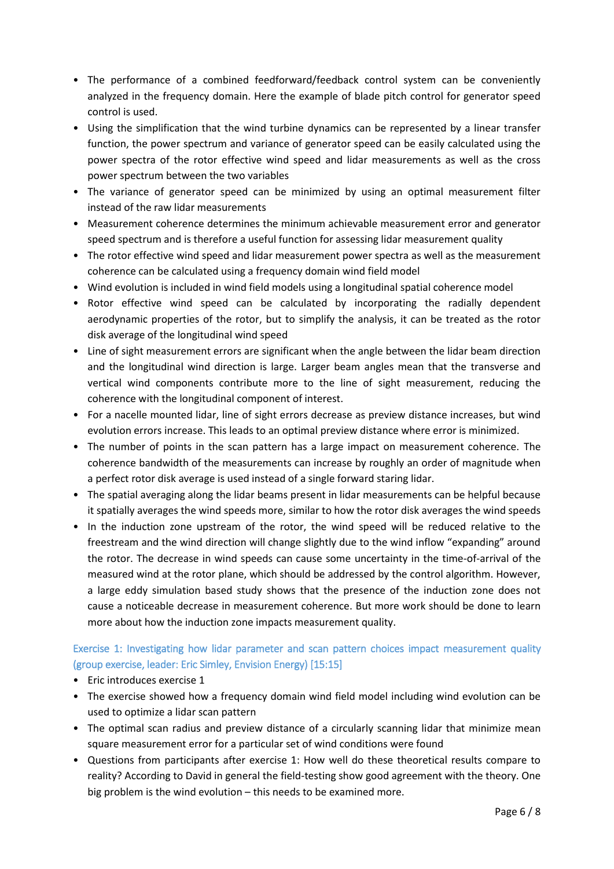- The performance of a combined feedforward/feedback control system can be conveniently analyzed in the frequency domain. Here the example of blade pitch control for generator speed control is used.
- Using the simplification that the wind turbine dynamics can be represented by a linear transfer function, the power spectrum and variance of generator speed can be easily calculated using the power spectra of the rotor effective wind speed and lidar measurements as well as the cross power spectrum between the two variables
- The variance of generator speed can be minimized by using an optimal measurement filter instead of the raw lidar measurements
- Measurement coherence determines the minimum achievable measurement error and generator speed spectrum and is therefore a useful function for assessing lidar measurement quality
- The rotor effective wind speed and lidar measurement power spectra as well as the measurement coherence can be calculated using a frequency domain wind field model
- Wind evolution is included in wind field models using a longitudinal spatial coherence model
- Rotor effective wind speed can be calculated by incorporating the radially dependent aerodynamic properties of the rotor, but to simplify the analysis, it can be treated as the rotor disk average of the longitudinal wind speed
- Line of sight measurement errors are significant when the angle between the lidar beam direction and the longitudinal wind direction is large. Larger beam angles mean that the transverse and vertical wind components contribute more to the line of sight measurement, reducing the coherence with the longitudinal component of interest.
- For a nacelle mounted lidar, line of sight errors decrease as preview distance increases, but wind evolution errors increase. This leads to an optimal preview distance where error is minimized.
- The number of points in the scan pattern has a large impact on measurement coherence. The coherence bandwidth of the measurements can increase by roughly an order of magnitude when a perfect rotor disk average is used instead of a single forward staring lidar.
- The spatial averaging along the lidar beams present in lidar measurements can be helpful because it spatially averages the wind speeds more, similar to how the rotor disk averages the wind speeds
- In the induction zone upstream of the rotor, the wind speed will be reduced relative to the freestream and the wind direction will change slightly due to the wind inflow "expanding" around the rotor. The decrease in wind speeds can cause some uncertainty in the time-of-arrival of the measured wind at the rotor plane, which should be addressed by the control algorithm. However, a large eddy simulation based study shows that the presence of the induction zone does not cause a noticeable decrease in measurement coherence. But more work should be done to learn more about how the induction zone impacts measurement quality.

### Exercise 1: Investigating how lidar parameter and scan pattern choices impact measurement quality (group exercise, leader: Eric Simley, Envision Energy) [15:15]

- Eric introduces exercise 1
- The exercise showed how a frequency domain wind field model including wind evolution can be used to optimize a lidar scan pattern
- The optimal scan radius and preview distance of a circularly scanning lidar that minimize mean square measurement error for a particular set of wind conditions were found
- Questions from participants after exercise 1: How well do these theoretical results compare to reality? According to David in general the field-testing show good agreement with the theory. One big problem is the wind evolution – this needs to be examined more.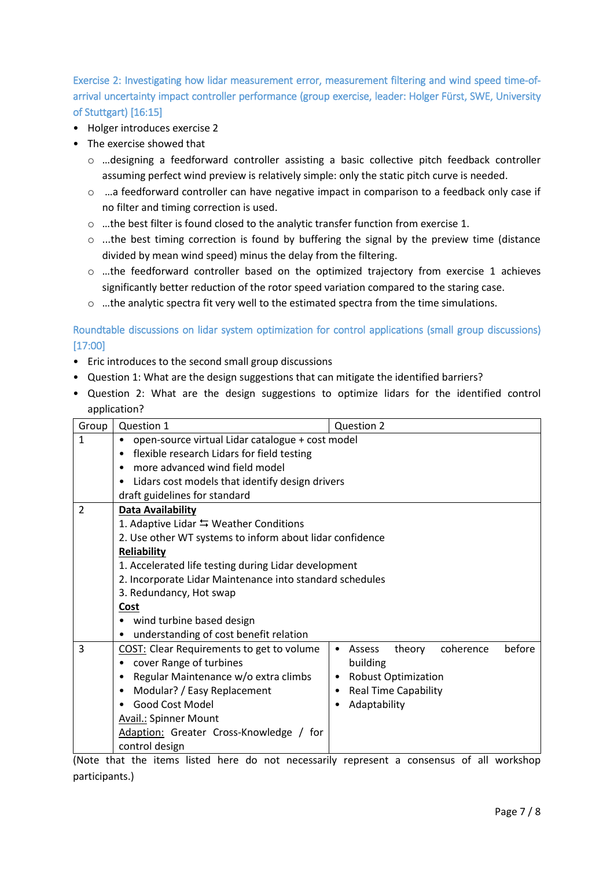Exercise 2: Investigating how lidar measurement error, measurement filtering and wind speed time-ofarrival uncertainty impact controller performance (group exercise, leader: Holger Fürst, SWE, University of Stuttgart) [16:15]

- Holger introduces exercise 2
- The exercise showed that
	- o …designing a feedforward controller assisting a basic collective pitch feedback controller assuming perfect wind preview is relatively simple: only the static pitch curve is needed.
	- $\circ$  ... a feedforward controller can have negative impact in comparison to a feedback only case if no filter and timing correction is used.
	- o …the best filter is found closed to the analytic transfer function from exercise 1.
	- $\circ$  ...the best timing correction is found by buffering the signal by the preview time (distance divided by mean wind speed) minus the delay from the filtering.
	- $\circ$  ...the feedforward controller based on the optimized trajectory from exercise 1 achieves significantly better reduction of the rotor speed variation compared to the staring case.
	- $\circ$  ... the analytic spectra fit very well to the estimated spectra from the time simulations.

Roundtable discussions on lidar system optimization for control applications (small group discussions) [17:00]

- Eric introduces to the second small group discussions
- Question 1: What are the design suggestions that can mitigate the identified barriers?
- Question 2: What are the design suggestions to optimize lidars for the identified control application?

| Group          | Question 1                                                    | Question 2                                |  |  |  |
|----------------|---------------------------------------------------------------|-------------------------------------------|--|--|--|
| $\mathbf{1}$   | open-source virtual Lidar catalogue + cost model<br>$\bullet$ |                                           |  |  |  |
|                | • flexible research Lidars for field testing                  |                                           |  |  |  |
|                | more advanced wind field model<br>$\bullet$                   |                                           |  |  |  |
|                | Lidars cost models that identify design drivers<br>$\bullet$  |                                           |  |  |  |
|                |                                                               |                                           |  |  |  |
|                | draft guidelines for standard                                 |                                           |  |  |  |
| $\overline{2}$ | <b>Data Availability</b>                                      |                                           |  |  |  |
|                | 1. Adaptive Lidar $\leftrightarrows$ Weather Conditions       |                                           |  |  |  |
|                | 2. Use other WT systems to inform about lidar confidence      |                                           |  |  |  |
|                | Reliability                                                   |                                           |  |  |  |
|                | 1. Accelerated life testing during Lidar development          |                                           |  |  |  |
|                | 2. Incorporate Lidar Maintenance into standard schedules      |                                           |  |  |  |
|                | 3. Redundancy, Hot swap                                       |                                           |  |  |  |
|                | Cost                                                          |                                           |  |  |  |
|                | wind turbine based design<br>٠                                |                                           |  |  |  |
|                | understanding of cost benefit relation<br>٠                   |                                           |  |  |  |
| 3              | <b>COST:</b> Clear Requirements to get to volume              | coherence<br>before<br>theory<br>• Assess |  |  |  |
|                | cover Range of turbines                                       | building                                  |  |  |  |
|                | Regular Maintenance w/o extra climbs                          | <b>Robust Optimization</b><br>٠           |  |  |  |
|                | Modular? / Easy Replacement                                   | <b>Real Time Capability</b>               |  |  |  |
|                | Good Cost Model<br>$\bullet$                                  | Adaptability                              |  |  |  |
|                | <b>Avail.: Spinner Mount</b>                                  |                                           |  |  |  |
|                | Adaption: Greater Cross-Knowledge / for                       |                                           |  |  |  |
|                | control design                                                |                                           |  |  |  |

(Note that the items listed here do not necessarily represent a consensus of all workshop participants.)